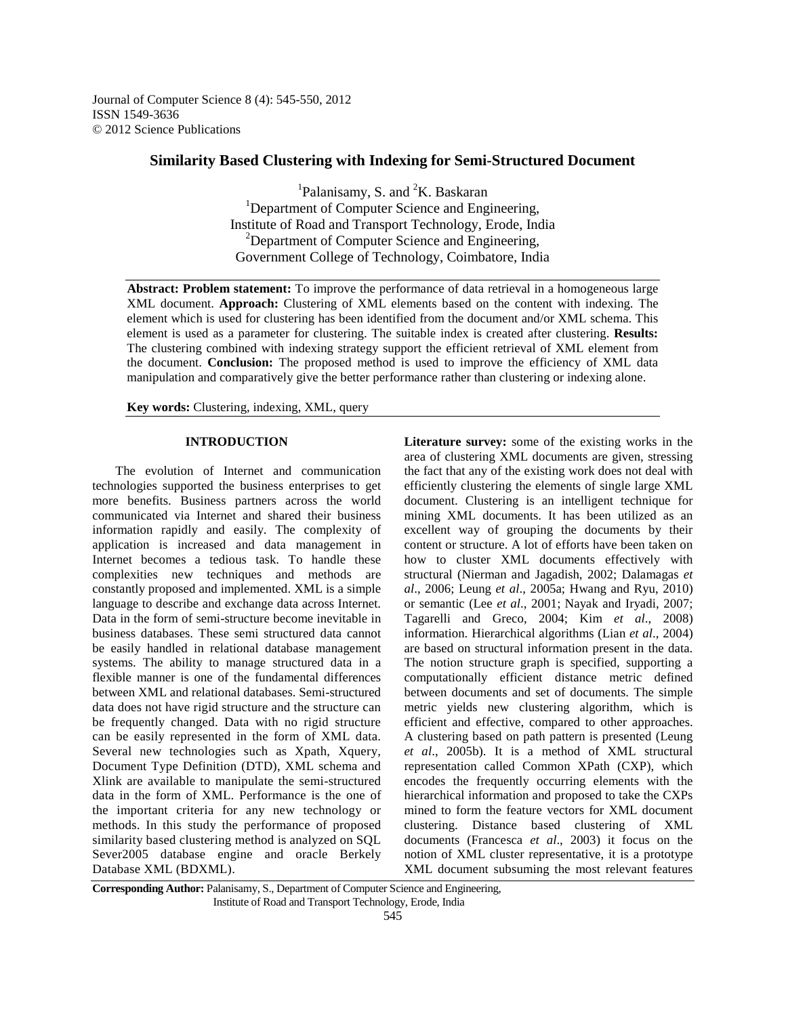Journal of Computer Science 8 (4): 545-550, 2012 ISSN 1549-3636 © 2012 Science Publications

# **Similarity Based Clustering with Indexing for Semi-Structured Document**

<sup>1</sup>Palanisamy, S. and <sup>2</sup>K. Baskaran <sup>1</sup>Department of Computer Science and Engineering, Institute of Road and Transport Technology, Erode, India  ${}^{2}$ Department of Computer Science and Engineering, Government College of Technology, Coimbatore, India

**Abstract: Problem statement:** To improve the performance of data retrieval in a homogeneous large XML document. **Approach:** Clustering of XML elements based on the content with indexing. The element which is used for clustering has been identified from the document and/or XML schema. This element is used as a parameter for clustering. The suitable index is created after clustering. **Results:** The clustering combined with indexing strategy support the efficient retrieval of XML element from the document. **Conclusion:** The proposed method is used to improve the efficiency of XML data manipulation and comparatively give the better performance rather than clustering or indexing alone.

**Key words:** Clustering, indexing, XML, query

#### **INTRODUCTION**

 The evolution of Internet and communication technologies supported the business enterprises to get more benefits. Business partners across the world communicated via Internet and shared their business information rapidly and easily. The complexity of application is increased and data management in Internet becomes a tedious task. To handle these complexities new techniques and methods are constantly proposed and implemented. XML is a simple language to describe and exchange data across Internet. Data in the form of semi-structure become inevitable in business databases. These semi structured data cannot be easily handled in relational database management systems. The ability to manage structured data in a flexible manner is one of the fundamental differences between XML and relational databases. Semi-structured data does not have rigid structure and the structure can be frequently changed. Data with no rigid structure can be easily represented in the form of XML data. Several new technologies such as Xpath, Xquery, Document Type Definition (DTD), XML schema and Xlink are available to manipulate the semi-structured data in the form of XML. Performance is the one of the important criteria for any new technology or methods. In this study the performance of proposed similarity based clustering method is analyzed on SQL Sever2005 database engine and oracle Berkely Database XML (BDXML).

**Literature survey:** some of the existing works in the area of clustering XML documents are given, stressing the fact that any of the existing work does not deal with efficiently clustering the elements of single large XML document. Clustering is an intelligent technique for mining XML documents. It has been utilized as an excellent way of grouping the documents by their content or structure. A lot of efforts have been taken on how to cluster XML documents effectively with structural (Nierman and Jagadish, 2002; Dalamagas *et al*., 2006; Leung *et al*., 2005a; Hwang and Ryu, 2010) or semantic (Lee *et al*., 2001; Nayak and Iryadi, 2007; Tagarelli and Greco, 2004; Kim *et al*., 2008) information. Hierarchical algorithms (Lian *et al*., 2004) are based on structural information present in the data. The notion structure graph is specified, supporting a computationally efficient distance metric defined between documents and set of documents. The simple metric yields new clustering algorithm, which is efficient and effective, compared to other approaches. A clustering based on path pattern is presented (Leung *et al*., 2005b). It is a method of XML structural representation called Common XPath (CXP), which encodes the frequently occurring elements with the hierarchical information and proposed to take the CXPs mined to form the feature vectors for XML document clustering. Distance based clustering of XML documents (Francesca *et al*., 2003) it focus on the notion of XML cluster representative, it is a prototype XML document subsuming the most relevant features

**Corresponding Author:** Palanisamy, S., Department of Computer Science and Engineering, Institute of Road and Transport Technology, Erode, India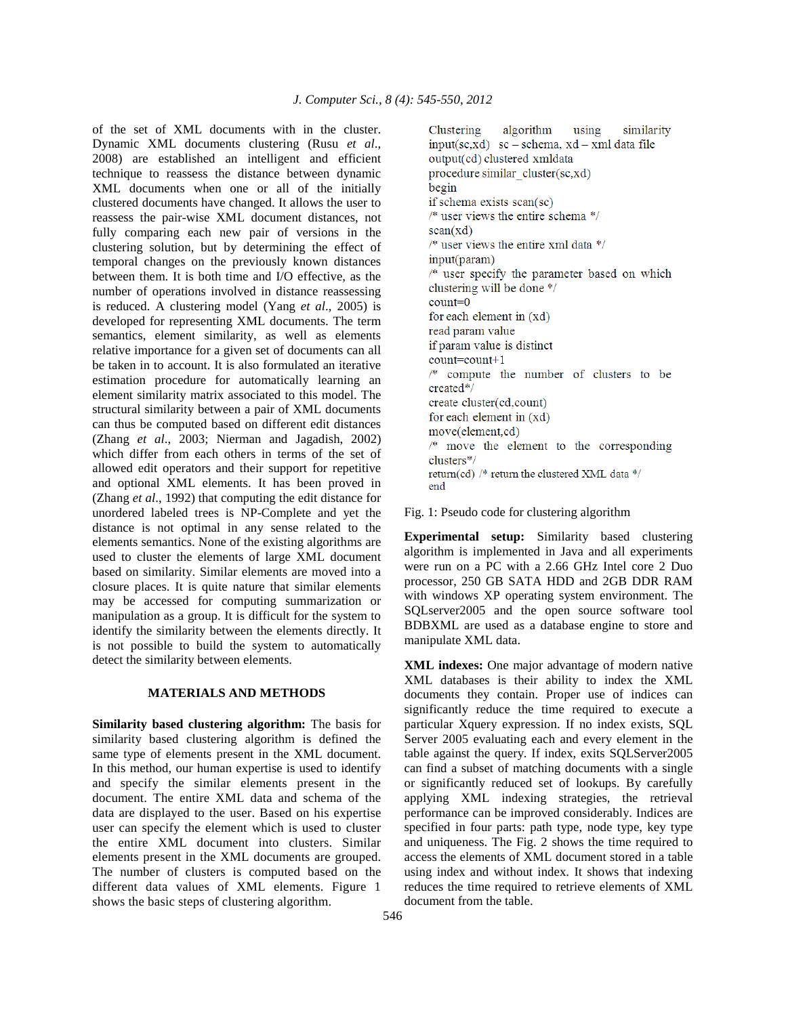of the set of XML documents with in the cluster. Dynamic XML documents clustering (Rusu *et al*., 2008) are established an intelligent and efficient technique to reassess the distance between dynamic XML documents when one or all of the initially clustered documents have changed. It allows the user to reassess the pair-wise XML document distances, not fully comparing each new pair of versions in the clustering solution, but by determining the effect of temporal changes on the previously known distances between them. It is both time and I/O effective, as the number of operations involved in distance reassessing is reduced. A clustering model (Yang *et al*., 2005) is developed for representing XML documents. The term semantics, element similarity, as well as elements relative importance for a given set of documents can all be taken in to account. It is also formulated an iterative estimation procedure for automatically learning an element similarity matrix associated to this model. The structural similarity between a pair of XML documents can thus be computed based on different edit distances (Zhang *et al*., 2003; Nierman and Jagadish, 2002) which differ from each others in terms of the set of allowed edit operators and their support for repetitive and optional XML elements. It has been proved in (Zhang *et al*., 1992) that computing the edit distance for unordered labeled trees is NP-Complete and yet the distance is not optimal in any sense related to the elements semantics. None of the existing algorithms are used to cluster the elements of large XML document based on similarity. Similar elements are moved into a closure places. It is quite nature that similar elements may be accessed for computing summarization or manipulation as a group. It is difficult for the system to identify the similarity between the elements directly. It is not possible to build the system to automatically detect the similarity between elements.

### **MATERIALS AND METHODS**

**Similarity based clustering algorithm:** The basis for similarity based clustering algorithm is defined the same type of elements present in the XML document. In this method, our human expertise is used to identify and specify the similar elements present in the document. The entire XML data and schema of the data are displayed to the user. Based on his expertise user can specify the element which is used to cluster the entire XML document into clusters. Similar elements present in the XML documents are grouped. The number of clusters is computed based on the different data values of XML elements. Figure 1 shows the basic steps of clustering algorithm.

Clustering algorithm using similarity  $input$ (sc,xd) sc – schema, xd – xml data file output(cd) clustered xmldata procedure similar cluster(sc,xd) begin if schema exists scan(sc) /\* user views the entire schema  $*/$  $scan(xd)$  $/*$  user views the entire xml data  $*/$ input(param) /\* user specify the parameter based on which clustering will be done \*/  $count=0$ for each element in  $(xd)$ read param value if param value is distinct count=count+1 /\* compute the number of clusters to be created\*/ create cluster(cd,count) for each element in  $(xd)$ move(element,cd)  $\frac{1}{2}$  move the element to the corresponding clusters\*/ return(cd) /\* return the clustered XML data \*/ end

Fig. 1: Pseudo code for clustering algorithm

**Experimental setup:** Similarity based clustering algorithm is implemented in Java and all experiments were run on a PC with a 2.66 GHz Intel core 2 Duo processor, 250 GB SATA HDD and 2GB DDR RAM with windows XP operating system environment. The SQLserver2005 and the open source software tool BDBXML are used as a database engine to store and manipulate XML data.

**XML indexes:** One major advantage of modern native XML databases is their ability to index the XML documents they contain. Proper use of indices can significantly reduce the time required to execute a particular Xquery expression. If no index exists, SQL Server 2005 evaluating each and every element in the table against the query. If index, exits SQLServer2005 can find a subset of matching documents with a single or significantly reduced set of lookups. By carefully applying XML indexing strategies, the retrieval performance can be improved considerably. Indices are specified in four parts: path type, node type, key type and uniqueness. The Fig. 2 shows the time required to access the elements of XML document stored in a table using index and without index. It shows that indexing reduces the time required to retrieve elements of XML document from the table.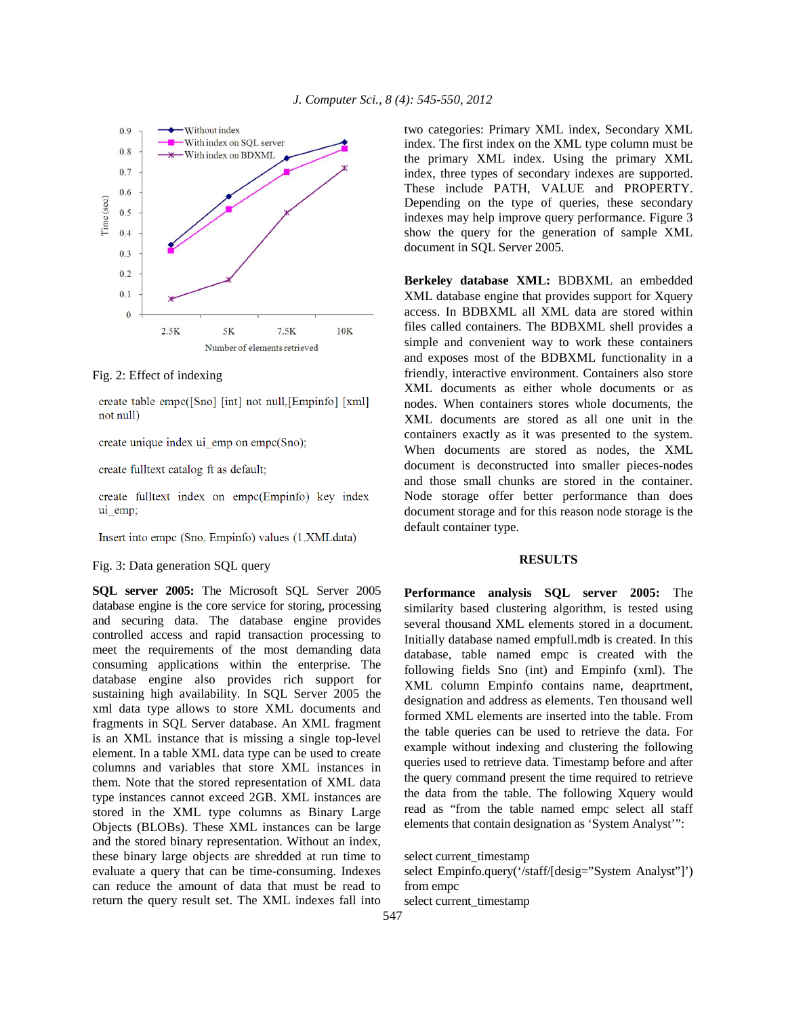

Fig. 2: Effect of indexing

create table empc([Sno] [int] not null, [Empinfo] [xml] not null)

create unique index ui\_emp on empc(Sno);

create fulltext catalog ft as default;

create fulltext index on empc(Empinfo) key index ui emp;

Insert into empc (Sno, Empinfo) values (1, XML data)

## Fig. 3: Data generation SQL query

**SQL server 2005:** The Microsoft SQL Server 2005 database engine is the core service for storing, processing and securing data. The database engine provides controlled access and rapid transaction processing to meet the requirements of the most demanding data consuming applications within the enterprise. The database engine also provides rich support for sustaining high availability. In SQL Server 2005 the xml data type allows to store XML documents and fragments in SQL Server database. An XML fragment is an XML instance that is missing a single top-level element. In a table XML data type can be used to create columns and variables that store XML instances in them. Note that the stored representation of XML data type instances cannot exceed 2GB. XML instances are stored in the XML type columns as Binary Large Objects (BLOBs). These XML instances can be large and the stored binary representation. Without an index, these binary large objects are shredded at run time to evaluate a query that can be time-consuming. Indexes can reduce the amount of data that must be read to return the query result set. The XML indexes fall into

two categories: Primary XML index, Secondary XML index. The first index on the XML type column must be the primary XML index. Using the primary XML index, three types of secondary indexes are supported. These include PATH, VALUE and PROPERTY. Depending on the type of queries, these secondary indexes may help improve query performance. Figure 3 show the query for the generation of sample XML document in SQL Server 2005.

**Berkeley database XML:** BDBXML an embedded XML database engine that provides support for Xquery access. In BDBXML all XML data are stored within files called containers. The BDBXML shell provides a simple and convenient way to work these containers and exposes most of the BDBXML functionality in a friendly, interactive environment. Containers also store XML documents as either whole documents or as nodes. When containers stores whole documents, the XML documents are stored as all one unit in the containers exactly as it was presented to the system. When documents are stored as nodes, the XML document is deconstructed into smaller pieces-nodes and those small chunks are stored in the container. Node storage offer better performance than does document storage and for this reason node storage is the default container type.

### **RESULTS**

**Performance analysis SQL server 2005:** The similarity based clustering algorithm, is tested using several thousand XML elements stored in a document. Initially database named empfull.mdb is created. In this database, table named empc is created with the following fields Sno (int) and Empinfo (xml). The XML column Empinfo contains name, deaprtment, designation and address as elements. Ten thousand well formed XML elements are inserted into the table. From the table queries can be used to retrieve the data. For example without indexing and clustering the following queries used to retrieve data. Timestamp before and after the query command present the time required to retrieve the data from the table. The following Xquery would read as "from the table named empc select all staff elements that contain designation as 'System Analyst'":

select current\_timestamp

select Empinfo.query('/staff/[desig="System Analyst"]') from empc

select current\_timestamp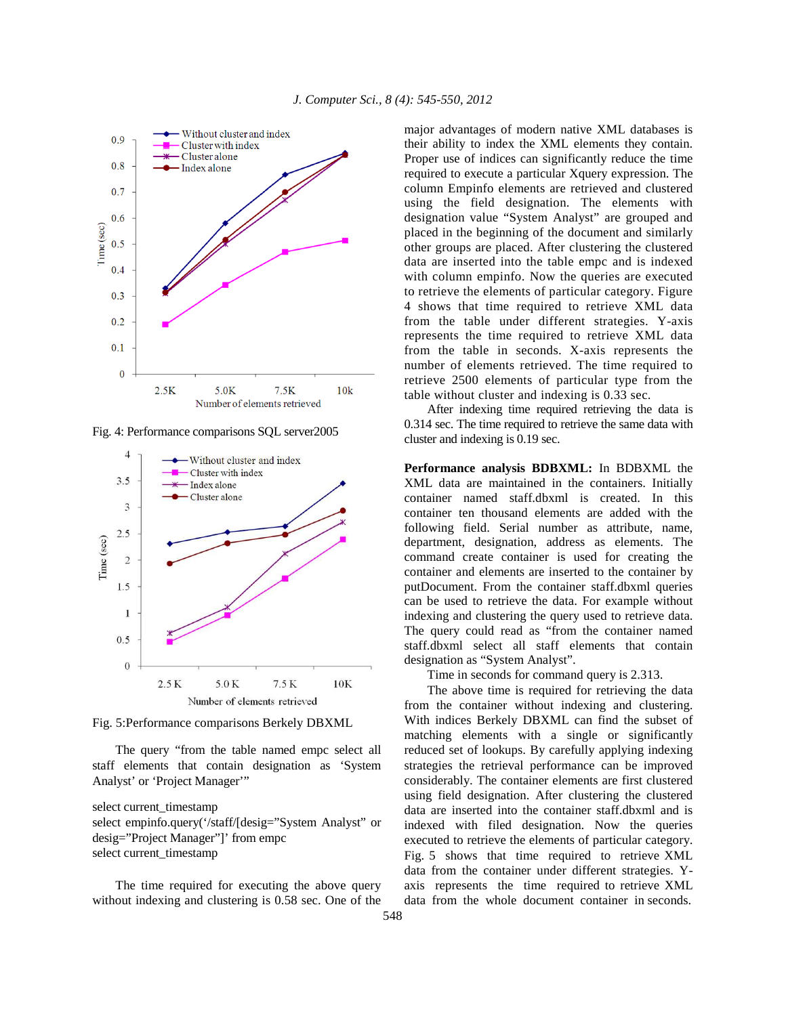

Fig. 4: Performance comparisons SQL server2005



Fig. 5:Performance comparisons Berkely DBXML

 The query "from the table named empc select all staff elements that contain designation as 'System Analyst' or 'Project Manager'"

select current\_timestamp

select empinfo.query('/staff/[desig="System Analyst" or desig="Project Manager"]' from empc select current\_timestamp

 The time required for executing the above query without indexing and clustering is 0.58 sec. One of the major advantages of modern native XML databases is their ability to index the XML elements they contain. Proper use of indices can significantly reduce the time required to execute a particular Xquery expression. The column Empinfo elements are retrieved and clustered using the field designation. The elements with designation value "System Analyst" are grouped and placed in the beginning of the document and similarly other groups are placed. After clustering the clustered data are inserted into the table empc and is indexed with column empinfo. Now the queries are executed to retrieve the elements of particular category. Figure 4 shows that time required to retrieve XML data from the table under different strategies. Y-axis represents the time required to retrieve XML data from the table in seconds. X-axis represents the number of elements retrieved. The time required to retrieve 2500 elements of particular type from the table without cluster and indexing is 0.33 sec.

 After indexing time required retrieving the data is 0.314 sec. The time required to retrieve the same data with cluster and indexing is 0.19 sec.

**Performance analysis BDBXML:** In BDBXML the XML data are maintained in the containers. Initially container named staff.dbxml is created. In this container ten thousand elements are added with the following field. Serial number as attribute, name, department, designation, address as elements. The command create container is used for creating the container and elements are inserted to the container by putDocument. From the container staff.dbxml queries can be used to retrieve the data. For example without indexing and clustering the query used to retrieve data. The query could read as "from the container named staff.dbxml select all staff elements that contain designation as "System Analyst".

Time in seconds for command query is 2.313.

 The above time is required for retrieving the data from the container without indexing and clustering. With indices Berkely DBXML can find the subset of matching elements with a single or significantly reduced set of lookups. By carefully applying indexing strategies the retrieval performance can be improved considerably. The container elements are first clustered using field designation. After clustering the clustered data are inserted into the container staff.dbxml and is indexed with filed designation. Now the queries executed to retrieve the elements of particular category. Fig. 5 shows that time required to retrieve XML data from the container under different strategies. Yaxis represents the time required to retrieve XML data from the whole document container in seconds.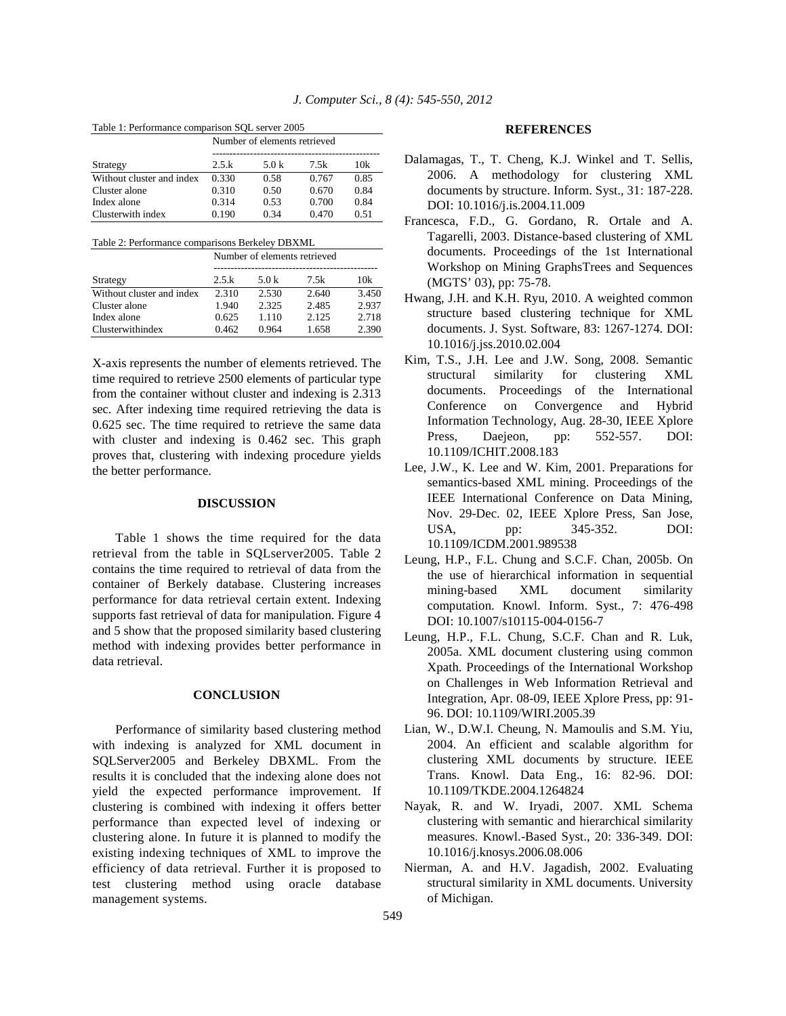| Strategy                  | Number of elements retrieved |       |       |      |  |
|---------------------------|------------------------------|-------|-------|------|--|
|                           | 2.5.k                        | 5.0 k | 7.5k  | 10k  |  |
| Without cluster and index | 0.330                        | 0.58  | 0.767 | 0.85 |  |
| Cluster alone             | 0.310                        | 0.50  | 0.670 | 0.84 |  |
| Index alone               | 0.314                        | 0.53  | 0.700 | 0.84 |  |
| Clusterwith index         | 0.190                        | 0.34  | 0.470 | 0.51 |  |

| Table 1: Performance comparison SQL server 2005 |  |
|-------------------------------------------------|--|
|                                                 |  |
|                                                 |  |

| Strategy                  | Number of elements retrieved |       |       |       |  |
|---------------------------|------------------------------|-------|-------|-------|--|
|                           | 2.5.k                        | 5.0 k | 7.5k  | 10k   |  |
| Without cluster and index | 2.310                        | 2.530 | 2.640 | 3.450 |  |
| Cluster alone             | 1.940                        | 2.325 | 2.485 | 2.937 |  |
| Index alone               | 0.625                        | 1.110 | 2.125 | 2.718 |  |
| Clusterwithindex          | 0.462                        | 0.964 | 1.658 | 2.390 |  |

X-axis represents the number of elements retrieved. The time required to retrieve 2500 elements of particular type from the container without cluster and indexing is 2.313 sec. After indexing time required retrieving the data is 0.625 sec. The time required to retrieve the same data with cluster and indexing is 0.462 sec. This graph proves that, clustering with indexing procedure yields the better performance.

#### **DISCUSSION**

 Table 1 shows the time required for the data retrieval from the table in SQLserver2005. Table 2 contains the time required to retrieval of data from the container of Berkely database. Clustering increases performance for data retrieval certain extent. Indexing supports fast retrieval of data for manipulation. Figure 4 and 5 show that the proposed similarity based clustering method with indexing provides better performance in data retrieval.

## **CONCLUSION**

 Performance of similarity based clustering method with indexing is analyzed for XML document in SQLServer2005 and Berkeley DBXML. From the results it is concluded that the indexing alone does not yield the expected performance improvement. If clustering is combined with indexing it offers better performance than expected level of indexing or clustering alone. In future it is planned to modify the existing indexing techniques of XML to improve the efficiency of data retrieval. Further it is proposed to test clustering method using oracle database management systems.

#### **REFERENCES**

- Dalamagas, T., T. Cheng, K.J. Winkel and T. Sellis, 2006. A methodology for clustering XML documents by structure. Inform. Syst., 31: 187-228. DOI: 10.1016/j.is.2004.11.009
- Francesca, F.D., G. Gordano, R. Ortale and A. Tagarelli, 2003. Distance-based clustering of XML documents. Proceedings of the 1st International Workshop on Mining GraphsTrees and Sequences (MGTS' 03), pp: 75-78.
- Hwang, J.H. and K.H. Ryu, 2010. A weighted common structure based clustering technique for XML documents. J. Syst. Software, 83: 1267-1274. DOI: 10.1016/j.jss.2010.02.004
- Kim, T.S., J.H. Lee and J.W. Song, 2008. Semantic structural similarity for clustering XML documents. Proceedings of the International Conference on Convergence and Hybrid Information Technology, Aug. 28-30, IEEE Xplore Press, Daejeon, pp: 552-557. DOI: 10.1109/ICHIT.2008.183
- Lee, J.W., K. Lee and W. Kim, 2001. Preparations for semantics-based XML mining. Proceedings of the IEEE International Conference on Data Mining, Nov. 29-Dec. 02, IEEE Xplore Press, San Jose, USA, pp: 345-352. DOI: 10.1109/ICDM.2001.989538
- Leung, H.P., F.L. Chung and S.C.F. Chan, 2005b. On the use of hierarchical information in sequential mining-based XML document similarity computation. Knowl. Inform. Syst., 7: 476-498 DOI: 10.1007/s10115-004-0156-7
- Leung, H.P., F.L. Chung, S.C.F. Chan and R. Luk, 2005a. XML document clustering using common Xpath. Proceedings of the International Workshop on Challenges in Web Information Retrieval and Integration, Apr. 08-09, IEEE Xplore Press, pp: 91- 96. DOI: 10.1109/WIRI.2005.39
- Lian, W., D.W.I. Cheung, N. Mamoulis and S.M. Yiu, 2004. An efficient and scalable algorithm for clustering XML documents by structure. IEEE Trans. Knowl. Data Eng., 16: 82-96. DOI: 10.1109/TKDE.2004.1264824
- Nayak, R. and W. Iryadi, 2007. XML Schema clustering with semantic and hierarchical similarity measures. Knowl.-Based Syst., 20: 336-349. DOI: 10.1016/j.knosys.2006.08.006
- Nierman, A. and H.V. Jagadish, 2002. Evaluating structural similarity in XML documents. University of Michigan.